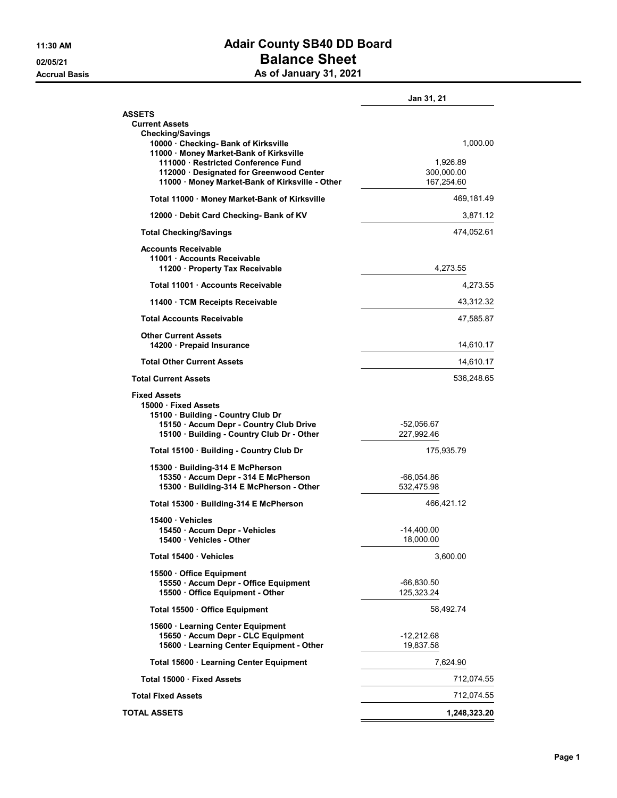## 11:30 AM **Adair County SB40 DD Board** 02/05/21 Decree of the Balance Sheet Accrual Basis Accrual Basis As of January 31, 2021

|                                                                                                                                                                          | Jan 31, 21                         |
|--------------------------------------------------------------------------------------------------------------------------------------------------------------------------|------------------------------------|
| <b>ASSETS</b><br><b>Current Assets</b><br><b>Checking/Savings</b>                                                                                                        |                                    |
| 10000 Checking- Bank of Kirksville<br>11000 · Money Market-Bank of Kirksville<br>111000 · Restricted Conference Fund<br>112000 Designated for Greenwood Center           | 1,000.00<br>1,926.89<br>300,000.00 |
| 11000 · Money Market-Bank of Kirksville - Other                                                                                                                          | 167,254.60                         |
| Total 11000 · Money Market-Bank of Kirksville                                                                                                                            | 469,181.49                         |
| 12000 Debit Card Checking- Bank of KV                                                                                                                                    | 3,871.12                           |
| <b>Total Checking/Savings</b>                                                                                                                                            | 474,052.61                         |
| <b>Accounts Receivable</b><br>11001 Accounts Receivable<br>11200 · Property Tax Receivable                                                                               | 4,273.55                           |
| Total 11001 Accounts Receivable                                                                                                                                          | 4,273.55                           |
| 11400 TCM Receipts Receivable                                                                                                                                            | 43,312.32                          |
| <b>Total Accounts Receivable</b>                                                                                                                                         | 47,585.87                          |
| <b>Other Current Assets</b><br>14200 Prepaid Insurance                                                                                                                   | 14,610.17                          |
| <b>Total Other Current Assets</b>                                                                                                                                        | 14,610.17                          |
| <b>Total Current Assets</b>                                                                                                                                              | 536,248.65                         |
| <b>Fixed Assets</b><br>15000 Fixed Assets<br>15100 · Building - Country Club Dr<br>15150 · Accum Depr - Country Club Drive<br>15100 · Building - Country Club Dr - Other | -52,056.67<br>227,992.46           |
| Total 15100 · Building - Country Club Dr                                                                                                                                 | 175,935.79                         |
| 15300 Building-314 E McPherson<br>15350 · Accum Depr - 314 E McPherson<br>15300 · Building-314 E McPherson - Other                                                       | -66,054.86<br>532,475.98           |
| Total 15300 Building-314 E McPherson                                                                                                                                     | 466,421.12                         |
| 15400 · Vehicles<br>15450 · Accum Depr - Vehicles<br>15400 Vehicles - Other                                                                                              | -14,400.00<br>18,000.00            |
| Total 15400 Vehicles                                                                                                                                                     | 3,600.00                           |
| 15500 Office Equipment<br>15550 · Accum Depr - Office Equipment<br>15500 · Office Equipment - Other                                                                      | -66,830.50<br>125,323.24           |
| Total 15500 · Office Equipment                                                                                                                                           | 58,492.74                          |
| 15600 · Learning Center Equipment<br>15650 · Accum Depr - CLC Equipment<br>15600 · Learning Center Equipment - Other                                                     | -12,212.68<br>19,837.58            |
| Total 15600 · Learning Center Equipment                                                                                                                                  | 7,624.90                           |
| Total 15000 · Fixed Assets                                                                                                                                               | 712,074.55                         |
| <b>Total Fixed Assets</b>                                                                                                                                                | 712,074.55                         |
| <b>TOTAL ASSETS</b>                                                                                                                                                      | 1,248,323.20                       |